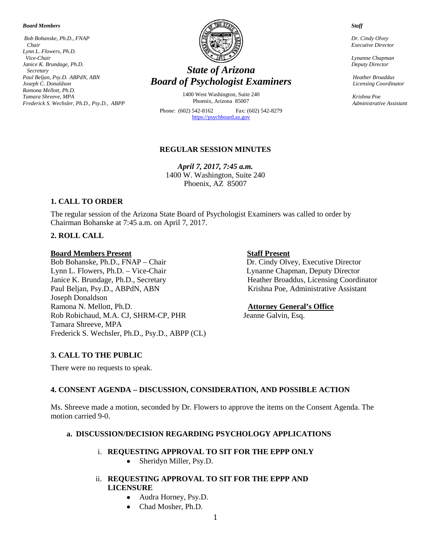#### *Board Members*

*Bob Bohanske, Ph.D., FNAP Chair Lynn L. Flowers, Ph.D. Vice-Chair Janice K. Brundage, Ph.D. Secretary Paul Beljan, Psy.D. ABPdN, ABN Joseph C. Donaldson Ramona Mellott, Ph.D. Tamara Shreeve, MPA Frederick S. Wechsler, Ph.D., Psy.D., ABPP*



# *State of Arizona Board of Psychologist Examiners*

1400 West Washington, Suite 240 Phoenix, Arizona 85007

Phone: (602) 542-8162 Fax: (602) 542-8279 [https://psychboard.az.gov](https://psychboard.az.gov/)

#### **REGULAR SESSION MINUTES**

*April 7, 2017, 7:45 a.m.*  1400 W. Washington, Suite 240 Phoenix, AZ 85007

#### **1. CALL TO ORDER**

The regular session of the Arizona State Board of Psychologist Examiners was called to order by Chairman Bohanske at 7:45 a.m. on April 7, 2017.

#### **2. ROLL CALL**

#### **Board Members Present Staff Present**

Bob Bohanske, Ph.D., FNAP – Chair Dr. Cindy Olvey, Executive Director Lynn L. Flowers, Ph.D. – Vice-Chair Lynne Chapman, Deputy Director Lynn L. Flowers, Ph.D. – Vice-Chair<br>Janice K. Brundage, Ph.D., Secretary Paul Beljan, Psy.D., ABPdN, ABN Krishna Poe, Administrative Assistant Joseph Donaldson Ramona N. Mellott, Ph.D. **Attorney General's Office** Rob Robichaud, M.A. CJ, SHRM-CP, PHR Jeanne Galvin, Esq. Tamara Shreeve, MPA Frederick S. Wechsler, Ph.D., Psy.D., ABPP (CL)

Heather Broaddus, Licensing Coordinator

#### **3. CALL TO THE PUBLIC**

There were no requests to speak.

#### **4. CONSENT AGENDA – DISCUSSION, CONSIDERATION, AND POSSIBLE ACTION**

Ms. Shreeve made a motion, seconded by Dr. Flowers to approve the items on the Consent Agenda. The motion carried 9-0.

#### **a. DISCUSSION/DECISION REGARDING PSYCHOLOGY APPLICATIONS**

#### i. **REQUESTING APPROVAL TO SIT FOR THE EPPP ONLY**

- Sheridyn Miller, Psy.D.
- ii. **REQUESTING APPROVAL TO SIT FOR THE EPPP AND LICENSURE**
	- Audra Horney, Psy.D.
	- Chad Mosher, Ph.D.

#### *Staff*

 *Dr. Cindy Olvey Executive Director*

 *Lynanne Chapman Deputy Director*

 *Heather Broaddus Licensing Coordinator*

 *Krishna Poe Administrative Assistant*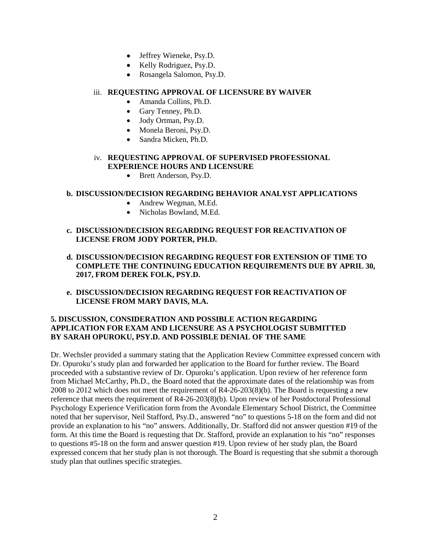- Jeffrey Wieneke, Psy.D.
- Kelly Rodriguez, Psy.D.
- Rosangela Salomon, Psy.D.

## iii. **REQUESTING APPROVAL OF LICENSURE BY WAIVER**

- Amanda Collins, Ph.D.
- Gary Tenney, Ph.D.
- Jody Ortman, Psy.D.
- Monela Beroni, Psy.D.
- Sandra Micken, Ph.D.

# iv. **REQUESTING APPROVAL OF SUPERVISED PROFESSIONAL EXPERIENCE HOURS AND LICENSURE**

• Brett Anderson, Psy.D.

# **b. DISCUSSION/DECISION REGARDING BEHAVIOR ANALYST APPLICATIONS**

- Andrew Wegman, M.Ed.
- Nicholas Bowland, M.Ed.

# **c. DISCUSSION/DECISION REGARDING REQUEST FOR REACTIVATION OF LICENSE FROM JODY PORTER, PH.D.**

- **d. DISCUSSION/DECISION REGARDING REQUEST FOR EXTENSION OF TIME TO COMPLETE THE CONTINUING EDUCATION REQUIREMENTS DUE BY APRIL 30, 2017, FROM DEREK FOLK, PSY.D.**
- **e. DISCUSSION/DECISION REGARDING REQUEST FOR REACTIVATION OF LICENSE FROM MARY DAVIS, M.A.**

# **5. DISCUSSION, CONSIDERATION AND POSSIBLE ACTION REGARDING APPLICATION FOR EXAM AND LICENSURE AS A PSYCHOLOGIST SUBMITTED BY SARAH OPUROKU, PSY.D. AND POSSIBLE DENIAL OF THE SAME**

Dr. Wechsler provided a summary stating that the Application Review Committee expressed concern with Dr. Opuroku's study plan and forwarded her application to the Board for further review. The Board proceeded with a substantive review of Dr. Opuroku's application. Upon review of her reference form from Michael McCarthy, Ph.D., the Board noted that the approximate dates of the relationship was from 2008 to 2012 which does not meet the requirement of R4-26-203(8)(b). The Board is requesting a new reference that meets the requirement of R4-26-203(8)(b). Upon review of her Postdoctoral Professional Psychology Experience Verification form from the Avondale Elementary School District, the Committee noted that her supervisor, Neil Stafford, Psy.D., answered "no" to questions 5-18 on the form and did not provide an explanation to his "no" answers. Additionally, Dr. Stafford did not answer question #19 of the form. At this time the Board is requesting that Dr. Stafford, provide an explanation to his "no" responses to questions #5-18 on the form and answer question #19. Upon review of her study plan, the Board expressed concern that her study plan is not thorough. The Board is requesting that she submit a thorough study plan that outlines specific strategies.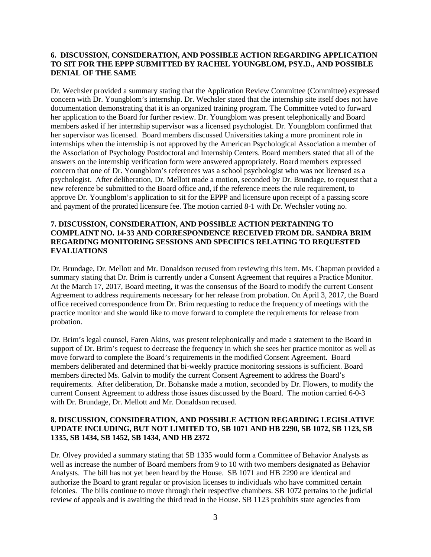### **6. DISCUSSION, CONSIDERATION, AND POSSIBLE ACTION REGARDING APPLICATION TO SIT FOR THE EPPP SUBMITTED BY RACHEL YOUNGBLOM, PSY.D., AND POSSIBLE DENIAL OF THE SAME**

Dr. Wechsler provided a summary stating that the Application Review Committee (Committee) expressed concern with Dr. Youngblom's internship. Dr. Wechsler stated that the internship site itself does not have documentation demonstrating that it is an organized training program. The Committee voted to forward her application to the Board for further review. Dr. Youngblom was present telephonically and Board members asked if her internship supervisor was a licensed psychologist. Dr. Youngblom confirmed that her supervisor was licensed. Board members discussed Universities taking a more prominent role in internships when the internship is not approved by the American Psychological Association a member of the Association of Psychology Postdoctoral and Internship Centers. Board members stated that all of the answers on the internship verification form were answered appropriately. Board members expressed concern that one of Dr. Youngblom's references was a school psychologist who was not licensed as a psychologist. After deliberation, Dr. Mellott made a motion, seconded by Dr. Brundage, to request that a new reference be submitted to the Board office and, if the reference meets the rule requirement, to approve Dr. Youngblom's application to sit for the EPPP and licensure upon receipt of a passing score and payment of the prorated licensure fee. The motion carried 8-1 with Dr. Wechsler voting no.

# **7. DISCUSSION, CONSIDERATION, AND POSSIBLE ACTION PERTAINING TO COMPLAINT NO. 14-33 AND CORRESPONDENCE RECEIVED FROM DR. SANDRA BRIM REGARDING MONITORING SESSIONS AND SPECIFICS RELATING TO REQUESTED EVALUATIONS**

Dr. Brundage, Dr. Mellott and Mr. Donaldson recused from reviewing this item. Ms. Chapman provided a summary stating that Dr. Brim is currently under a Consent Agreement that requires a Practice Monitor. At the March 17, 2017, Board meeting, it was the consensus of the Board to modify the current Consent Agreement to address requirements necessary for her release from probation. On April 3, 2017, the Board office received correspondence from Dr. Brim requesting to reduce the frequency of meetings with the practice monitor and she would like to move forward to complete the requirements for release from probation.

Dr. Brim's legal counsel, Faren Akins, was present telephonically and made a statement to the Board in support of Dr. Brim's request to decrease the frequency in which she sees her practice monitor as well as move forward to complete the Board's requirements in the modified Consent Agreement. Board members deliberated and determined that bi-weekly practice monitoring sessions is sufficient. Board members directed Ms. Galvin to modify the current Consent Agreement to address the Board's requirements. After deliberation, Dr. Bohanske made a motion, seconded by Dr. Flowers, to modify the current Consent Agreement to address those issues discussed by the Board. The motion carried 6-0-3 with Dr. Brundage, Dr. Mellott and Mr. Donaldson recused.

### **8. DISCUSSION, CONSIDERATION, AND POSSIBLE ACTION REGARDING LEGISLATIVE UPDATE INCLUDING, BUT NOT LIMITED TO, SB 1071 AND HB 2290, SB 1072, SB 1123, SB 1335, SB 1434, SB 1452, SB 1434, AND HB 2372**

Dr. Olvey provided a summary stating that SB 1335 would form a Committee of Behavior Analysts as well as increase the number of Board members from 9 to 10 with two members designated as Behavior Analysts. The bill has not yet been heard by the House. SB 1071 and HB 2290 are identical and authorize the Board to grant regular or provision licenses to individuals who have committed certain felonies. The bills continue to move through their respective chambers. SB 1072 pertains to the judicial review of appeals and is awaiting the third read in the House. SB 1123 prohibits state agencies from